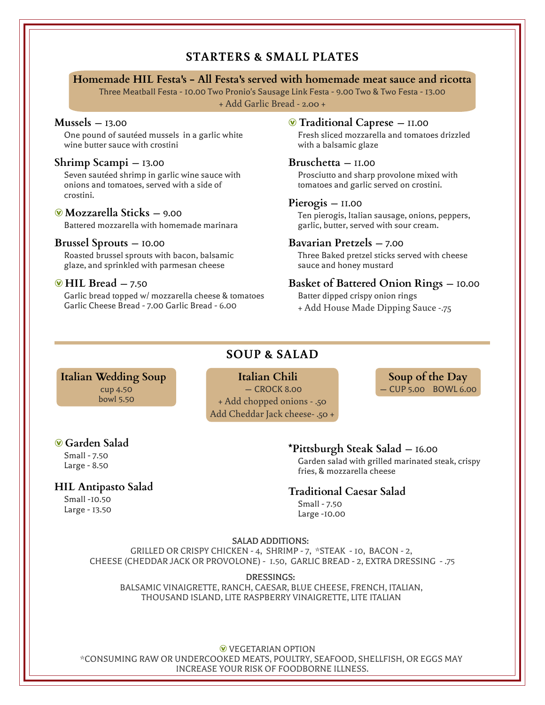## **STARTERS & SMALL PLATES**

#### **Homemade HIL Festa's - All Festa's served with homemade meat sauce and ricotta**

Three Meatball Festa - 10.00 Two Pronio's Sausage Link Festa - 9.00 Two & Two Festa - 13.00 + Add Garlic Bread - 2.00 +

#### **Mussels** — 13.00

One pound of sautéed mussels in a garlic white wine butter sauce with crostini

#### **Shrimp Scampi** — 13.00

Seven sautéed shrimp in garlic wine sauce with onions and tomatoes, served with a side of crostini.

#### Æ **Mozzarella Sticks** — 9.00

Battered mozzarella with homemade marinara

#### **Brussel Sprouts** — 10.00

Roasted brussel sprouts with bacon, balsamic glaze, and sprinkled with parmesan cheese

#### **W** HIL Bread – 7.50

Garlic bread topped w/ mozzarella cheese & tomatoes Garlic Cheese Bread - 7.00 Garlic Bread - 6.00

#### Æ **Traditional Caprese** — 11.00

Fresh sliced mozzarella and tomatoes drizzled with a balsamic glaze

#### **Bruschetta** — 11.00

Prosciutto and sharp provolone mixed with tomatoes and garlic served on crostini.

#### **Pierogis** — 11.00

Ten pierogis, Italian sausage, onions, peppers, garlic, butter, served with sour cream.

#### **Bavarian Pretzels** — 7.00

Three Baked pretzel sticks served with cheese sauce and honey mustard

#### **Basket of Battered Onion Rings** — 10.00

Batter dipped crispy onion rings

+ Add House Made Dipping Sauce -.75

# **SOUP & SALAD**

**Italian Wedding Soup**  cup 4.50 bowl 5.50

# **Italian Chili**

 — CROCK 8.00 + Add chopped onions - .50 Add Cheddar Jack cheese- .50 +

**Soup of the Day** — CUP 5.00 BOWL 6.00

#### Æ **Garden Salad**

Small - 7.50 Large - 8.50

# **HIL Antipasto Salad**

Small -10.50 Large - 13.50

### **\*Pittsburgh Steak Salad** — 16.00

Garden salad with grilled marinated steak, crispy fries, & mozzarella cheese

#### **Traditional Caesar Salad**

Small - 7.50 Large -10.00

#### SALAD ADDITIONS:

GRILLED OR CRISPY CHICKEN - 4, SHRIMP - 7, \*STEAK - 10, BACON - 2, CHEESE (CHEDDAR JACK OR PROVOLONE) - 1.50, GARLIC BREAD - 2, EXTRA DRESSING - .75

DRESSINGS: BALSAMIC VINAIGRETTE, RANCH, CAESAR, BLUE CHEESE, FRENCH, ITALIAN, THOUSAND ISLAND, LITE RASPBERRY VINAIGRETTE, LITE ITALIAN

**W** VEGETARIAN OPTION \*CONSUMING RAW OR UNDERCOOKED MEATS, POULTRY, SEAFOOD, SHELLFISH, OR EGGS MAY INCREASE YOUR RISK OF FOODBORNE ILLNESS.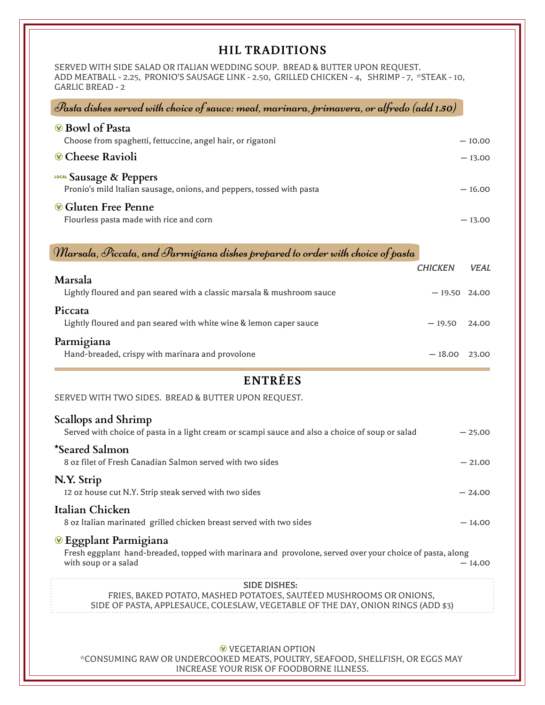# **HIL TRADITIONS**

SERVED WITH SIDE SALAD OR ITALIAN WEDDING SOUP. BREAD & BUTTER UPON REQUEST. ADD MEATBALL - 2.25, PRONIO'S SAUSAGE LINK - 2.50, GRILLED CHICKEN - 4, SHRIMP - 7, \*STEAK - 10, GARLIC BREAD - 2

| Pasta dishes served with choice of sauce: meat, marinara, primavera, or alfredo (add 1.50)                                                                           |                |             |
|----------------------------------------------------------------------------------------------------------------------------------------------------------------------|----------------|-------------|
| <b>O</b> Bowl of Pasta                                                                                                                                               |                |             |
| Choose from spaghetti, fettuccine, angel hair, or rigatoni                                                                                                           |                | $-10.00$    |
| <b>Cheese Ravioli</b>                                                                                                                                                |                | $-13.00$    |
| LOCAL Sausage & Peppers<br>Pronio's mild Italian sausage, onions, and peppers, tossed with pasta                                                                     |                | $-16.00$    |
| <b>Cons</b> Gluten Free Penne<br>Flourless pasta made with rice and corn                                                                                             |                | $-13.00$    |
| Wlarsala, Piccata, and Parmigiana dishes prepared to order with choice of pasta                                                                                      |                |             |
| Marsala                                                                                                                                                              | <b>CHICKEN</b> | <b>VEAL</b> |
| Lightly floured and pan seared with a classic marsala & mushroom sauce                                                                                               | $-19.50$ 24.00 |             |
| Piccata<br>Lightly floured and pan seared with white wine & lemon caper sauce                                                                                        | $-19.50$       | 24.00       |
| Parmigiana<br>Hand-breaded, crispy with marinara and provolone                                                                                                       | $-18.00$ 23.00 |             |
| <b>ENTRÉES</b>                                                                                                                                                       |                |             |
| SERVED WITH TWO SIDES. BREAD & BUTTER UPON REQUEST.                                                                                                                  |                |             |
| Scallops and Shrimp<br>Served with choice of pasta in a light cream or scampi sauce and also a choice of soup or salad                                               |                | $-25.00$    |
| *Seared Salmon<br>8 oz filet of Fresh Canadian Salmon served with two sides                                                                                          |                | $-2I.00$    |
| N.Y. Strip<br>12 oz house cut N.Y. Strip steak served with two sides                                                                                                 |                | $-24.00$    |
| Italian Chicken<br>8 oz Italian marinated grilled chicken breast served with two sides                                                                               |                | $-14.00$    |
| <sup>®</sup> Eggplant Parmigiana<br>Fresh eggplant hand-breaded, topped with marinara and provolone, served over your choice of pasta, along<br>with soup or a salad |                | $-14.00$    |
| <b>SIDE DISHES:</b>                                                                                                                                                  |                |             |
| FRIES, BAKED POTATO, MASHED POTATOES, SAUTÉED MUSHROOMS OR ONIONS,<br>SIDE OF PASTA, APPLESAUCE, COLESLAW, VEGETABLE OF THE DAY, ONION RINGS (ADD \$3)               |                |             |
|                                                                                                                                                                      |                |             |

**W** VEGETARIAN OPTION \*CONSUMING RAW OR UNDERCOOKED MEATS, POULTRY, SEAFOOD, SHELLFISH, OR EGGS MAY INCREASE YOUR RISK OF FOODBORNE ILLNESS.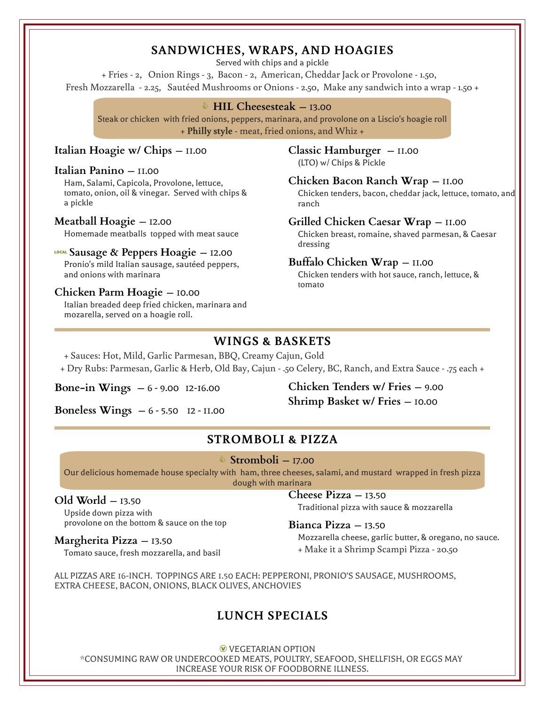# **SANDWICHES, WRAPS, AND HOAGIES**

Served with chips and a pickle

+ Fries - 2, Onion Rings - 3, Bacon - 2, American, Cheddar Jack or Provolone - 1.50, Fresh Mozzarella - 2.25, Sautéed Mushrooms or Onions - 2.50, Make any sandwich into a wrap - 1.50 +

#### j **HIL Cheesesteak** — 13.00

Steak or chicken with fried onions, peppers, marinara, and provolone on a Liscio's hoagie roll + **Philly style** - meat, fried onions, and Whiz +

#### **Italian Hoagie w/ Chips** — 11.00 **Classic Hamburger** — 11.00

# (LTO) w/ Chips & Pickle **Italian Panino** — 11.00

Ham, Salami, Capicola, Provolone, lettuce, tomato, onion, oil & vinegar. Served with chips & a pickle

#### **Meatball Hoagie** — 12.00

Homemade meatballs topped with meat sauce

# dressing 7**Sausage & Peppers Hoagie** — 12.00

Pronio's mild Italian sausage, sautéed peppers, and onions with marinara

# tomato **Chicken Parm Hoagie** — 10.00

Italian breaded deep fried chicken, marinara and mozarella, served on a hoagie roll.

#### **Chicken Bacon Ranch Wrap** — 11.00 Chicken tenders, bacon, cheddar jack, lettuce, tomato, and ranch

#### **Grilled Chicken Caesar Wrap** — 11.00

Chicken breast, romaine, shaved parmesan, & Caesar

#### **Buffalo Chicken Wrap** — 11.00

Chicken tenders with hot sauce, ranch, lettuce, &

## **WINGS & BASKETS**

+ Sauces: Hot, Mild, Garlic Parmesan, BBQ, Creamy Cajun, Gold

+ Dry Rubs: Parmesan, Garlic & Herb, Old Bay, Cajun - .50 Celery, BC, Ranch, and Extra Sauce - .75 each +

**Boneless Wings** — 6 - 5.50 12 - 11.00

**Bone-in Wings** — 6 - 9.00 12-16.00 **Chicken Tenders w/ Fries** — 9.00 **Shrimp Basket w/ Fries** — 10.00

# **STROMBOLI & PIZZA**

#### j **Stromboli** — 17.00

Our delicious homemade house specialty with ham, three cheeses, salami, and mustard wrapped in fresh pizza dough with marinara

#### **Old World** — 13.50

Upside down pizza with provolone on the bottom & sauce on the top

#### **Margherita Pizza** — 13.50

Tomato sauce, fresh mozzarella, and basil

**Cheese Pizza** — 13.50 Traditional pizza with sauce & mozzarella

**Bianca Pizza** — 13.50 Mozzarella cheese, garlic butter, & oregano, no sauce.

+ Make it a Shrimp Scampi Pizza - 20.50

ALL PIZZAS ARE 16-INCH. TOPPINGS ARE 1.50 EACH: PEPPERONI, PRONIO'S SAUSAGE, MUSHROOMS, EXTRA CHEESE, BACON, ONIONS, BLACK OLIVES, ANCHOVIES

# **LUNCH SPECIALS**

**W** VEGETARIAN OPTION \*CONSUMING RAW OR UNDERCOOKED MEATS, POULTRY, SEAFOOD, SHELLFISH, OR EGGS MAY INCREASE YOUR RISK OF FOODBORNE ILLNESS.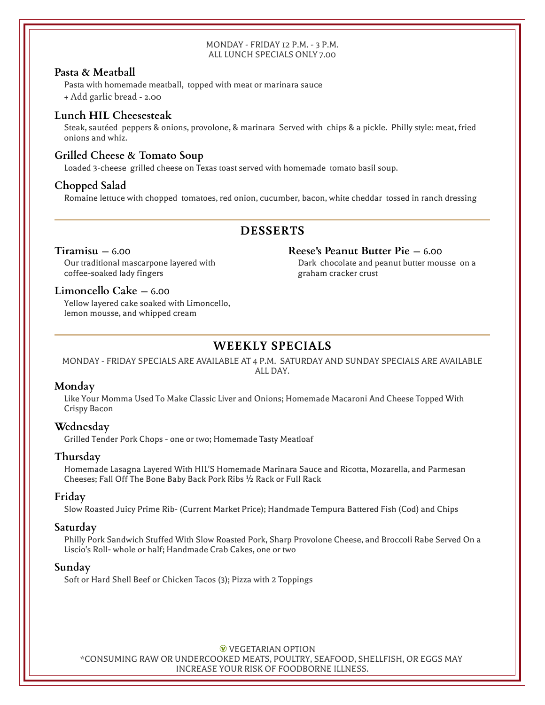#### MONDAY - FRIDAY 12 P.M. - 3 P.M. ALL LUNCH SPECIALS ONLY 7.00

#### **Pasta & Meatball**

Pasta with homemade meatball, topped with meat or marinara sauce

+ Add garlic bread - 2.00

#### **Lunch HIL Cheesesteak**

Steak, sautéed peppers & onions, provolone, & marinara Served with chips & a pickle. Philly style: meat, fried onions and whiz.

#### **Grilled Cheese & Tomato Soup**

Loaded 3-cheese grilled cheese on Texas toast served with homemade tomato basil soup.

#### **Chopped Salad**

Romaine lettuce with chopped tomatoes, red onion, cucumber, bacon, white cheddar tossed in ranch dressing

# **DESSERTS**

#### **Tiramisu** — 6.00

Our traditional mascarpone layered with coffee-soaked lady fingers

#### **Limoncello Cake** — 6.00

Yellow layered cake soaked with Limoncello, lemon mousse, and whipped cream

# **WEEKLY SPECIALS**

#### MONDAY - FRIDAY SPECIALS ARE AVAILABLE AT 4 P.M. SATURDAY AND SUNDAY SPECIALS ARE AVAILABLE ALL DAY.

#### **Monday**

Like Your Momma Used To Make Classic Liver and Onions; Homemade Macaroni And Cheese Topped With Crispy Bacon

#### **Wednesday**

Grilled Tender Pork Chops - one or two; Homemade Tasty Meatloaf

#### **Thursday**

Homemade Lasagna Layered With HIL'S Homemade Marinara Sauce and Ricotta, Mozarella, and Parmesan Cheeses; Fall Off The Bone Baby Back Pork Ribs ½ Rack or Full Rack

#### **Friday**

Slow Roasted Juicy Prime Rib- (Current Market Price); Handmade Tempura Battered Fish (Cod) and Chips

#### **Saturday**

Philly Pork Sandwich Stuffed With Slow Roasted Pork, Sharp Provolone Cheese, and Broccoli Rabe Served On a Liscio's Roll- whole or half; Handmade Crab Cakes, one or two

#### **Sunday**

Soft or Hard Shell Beef or Chicken Tacos (3); Pizza with 2 Toppings

**W** VEGETARIAN OPTION \*CONSUMING RAW OR UNDERCOOKED MEATS, POULTRY, SEAFOOD, SHELLFISH, OR EGGS MAY INCREASE YOUR RISK OF FOODBORNE ILLNESS.

#### **Reese's Peanut Butter Pie** — 6.00

Dark chocolate and peanut butter mousse on a graham cracker crust